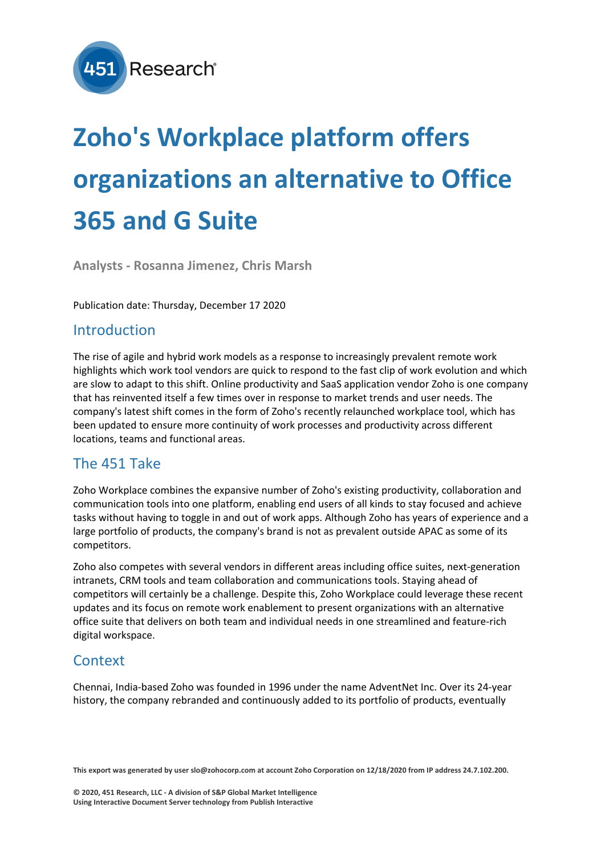

# **Zoho's Workplace platform offers organizations an alternative to Office 365 and G Suite**

**Analysts - Rosanna Jimenez, Chris Marsh**

Publication date: Thursday, December 17 2020

#### Introduction

The rise of agile and hybrid work models as a response to increasingly prevalent remote work highlights which work tool vendors are quick to respond to the fast clip of work evolution and which are slow to adapt to this shift. Online productivity and SaaS application vendor Zoho is one company that has reinvented itself a few times over in response to market trends and user needs. The company's latest shift comes in the form of Zoho's recently relaunched workplace tool, which has been updated to ensure more continuity of work processes and productivity across different locations, teams and functional areas.

## The 451 Take

Zoho Workplace combines the expansive number of Zoho's existing productivity, collaboration and communication tools into one platform, enabling end users of all kinds to stay focused and achieve tasks without having to toggle in and out of work apps. Although Zoho has years of experience and a large portfolio of products, the company's brand is not as prevalent outside APAC as some of its competitors.

Zoho also competes with several vendors in different areas including office suites, next-generation intranets, CRM tools and team collaboration and communications tools. Staying ahead of competitors will certainly be a challenge. Despite this, Zoho Workplace could leverage these recent updates and its focus on remote work enablement to present organizations with an alternative office suite that delivers on both team and individual needs in one streamlined and feature-rich digital workspace.

## **Context**

Chennai, India-based Zoho was founded in 1996 under the name AdventNet Inc. Over its 24-year history, the company rebranded and continuously added to its portfolio of products, eventually

**This export was generated by user slo@zohocorp.com at account Zoho Corporation on 12/18/2020 from IP address 24.7.102.200.**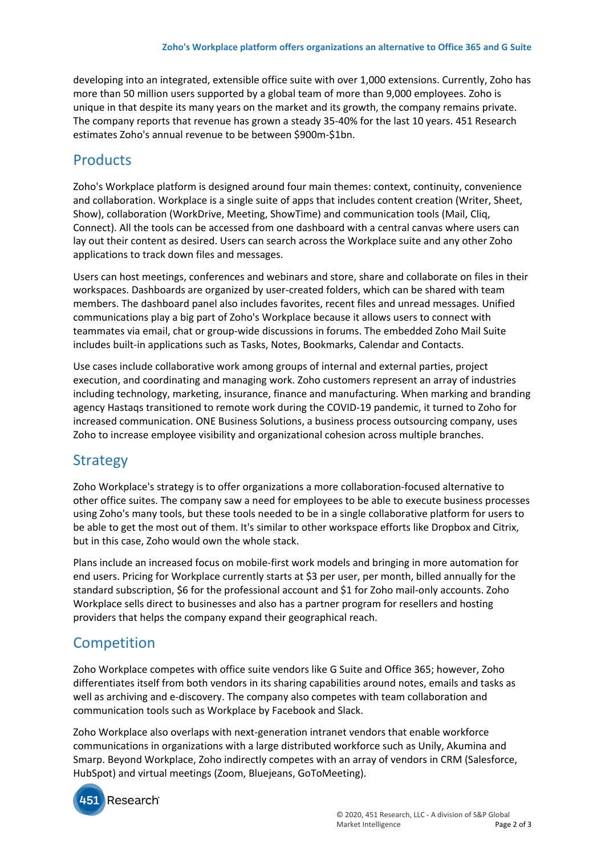developing into an integrated, extensible office suite with over 1,000 extensions. Currently, Zoho has more than 50 million users supported by a global team of more than 9,000 employees. Zoho is unique in that despite its many years on the market and its growth, the company remains private. The company reports that revenue has grown a steady 35-40% for the last 10 years. 451 Research estimates Zoho's annual revenue to be between \$900m-\$1bn.

## Products

Zoho's Workplace platform is designed around four main themes: context, continuity, convenience and collaboration. Workplace is a single suite of apps that includes content creation (Writer, Sheet, Show), collaboration (WorkDrive, Meeting, ShowTime) and communication tools (Mail, Cliq, Connect). All the tools can be accessed from one dashboard with a central canvas where users can lay out their content as desired. Users can search across the Workplace suite and any other Zoho applications to track down files and messages.

Users can host meetings, conferences and webinars and store, share and collaborate on files in their workspaces. Dashboards are organized by user-created folders, which can be shared with team members. The dashboard panel also includes favorites, recent files and unread messages. Unified communications play a big part of Zoho's Workplace because it allows users to connect with teammates via email, chat or group-wide discussions in forums. The embedded Zoho Mail Suite includes built-in applications such as Tasks, Notes, Bookmarks, Calendar and Contacts.

Use cases include collaborative work among groups of internal and external parties, project execution, and coordinating and managing work. Zoho customers represent an array of industries including technology, marketing, insurance, finance and manufacturing. When marking and branding agency Hastaqs transitioned to remote work during the COVID-19 pandemic, it turned to Zoho for increased communication. ONE Business Solutions, a business process outsourcing company, uses Zoho to increase employee visibility and organizational cohesion across multiple branches.

## **Strategy**

Zoho Workplace's strategy is to offer organizations a more collaboration-focused alternative to other office suites. The company saw a need for employees to be able to execute business processes using Zoho's many tools, but these tools needed to be in a single collaborative platform for users to be able to get the most out of them. It's similar to other workspace efforts like Dropbox and Citrix, but in this case, Zoho would own the whole stack.

Plans include an increased focus on mobile-first work models and bringing in more automation for end users. Pricing for Workplace currently starts at \$3 per user, per month, billed annually for the standard subscription, \$6 for the professional account and \$1 for Zoho mail-only accounts. Zoho Workplace sells direct to businesses and also has a partner program for resellers and hosting providers that helps the company expand their geographical reach.

## **Competition**

Zoho Workplace competes with office suite vendors like G Suite and Office 365; however, Zoho differentiates itself from both vendors in its sharing capabilities around notes, emails and tasks as well as archiving and e-discovery. The company also competes with team collaboration and communication tools such as Workplace by Facebook and Slack.

Zoho Workplace also overlaps with next-generation intranet vendors that enable workforce communications in organizations with a large distributed workforce such as Unily, Akumina and Smarp. Beyond Workplace, Zoho indirectly competes with an array of vendors in CRM (Salesforce, HubSpot) and virtual meetings (Zoom, Bluejeans, GoToMeeting).



Research®